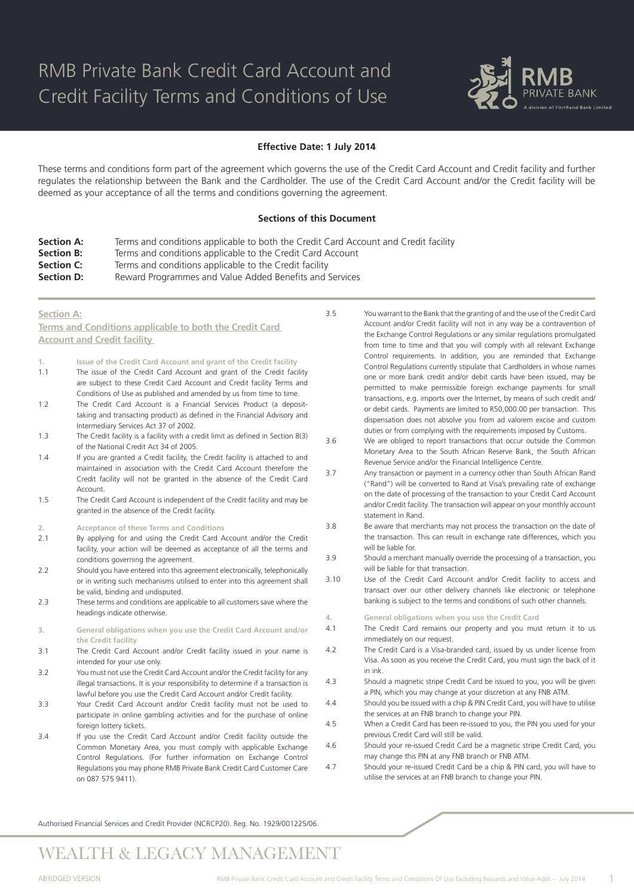

### **Effective Date: 1 July 2014**

These terms and conditions form part of the agreement which governs the use of the Credit Card Account and Credit facility and further regulates the relationship between the Bank and the Cardholder. The use of the Credit Card Account and/or the Credit facility will be deemed as your acceptance of all the terms and conditions governing the agreement.

### **Sections of this Document**

- **Section A:** Terms and conditions applicable to both the Credit Card Account and Credit facility
- **Section B:** Terms and conditions applicable to the Credit Card Account
- **Section C:** Terms and conditions applicable to the Credit facility

**Section D:** Reward Programmes and Value Added Benefits and Services

### **Section A:**

**Terms and Conditions applicable to both the Credit Card Account and Credit facility** 

- **1. Issue of the Credit Card Account and grant of the Credit facility**
- 1.1 The issue of the Credit Card Account and grant of the Credit facility are subject to these Credit Card Account and Credit facility Terms and Conditions of Use as published and amended by us from time to time.
- 1.2 The Credit Card Account is a Financial Services Product (a deposittaking and transacting product) as defined in the Financial Advisory and Intermediary Services Act 37 of 2002.
- 1.3 The Credit facility is a facility with a credit limit as defined in Section 8(3) of the National Credit Act 34 of 2005.
- 1.4 If you are granted a Credit facility, the Credit facility is attached to and maintained in association with the Credit Card Account therefore the Credit facility will not be granted in the absence of the Credit Card Account.
- 1.5 The Credit Card Account is independent of the Credit facility and may be granted in the absence of the Credit facility.
- **2. Acceptance of these Terms and Conditions**
- 2.1 By applying for and using the Credit Card Account and/or the Credit facility, your action will be deemed as acceptance of all the terms and conditions governing the agreement.
- 2.2 Should you have entered into this agreement electronically, telephonically or in writing such mechanisms utilised to enter into this agreement shall be valid, binding and undisputed.
- 2.3 These terms and conditions are applicable to all customers save where the headings indicate otherwise.
- **3. General obligations when you use the Credit Card Account and/or the Credit facility**
- 3.1 The Credit Card Account and/or Credit facility issued in your name is intended for your use only.
- 3.2 You must not use the Credit Card Account and/or the Credit facility for any illegal transactions. It is your responsibility to determine if a transaction is lawful before you use the Credit Card Account and/or Credit facility.
- 3.3 Your Credit Card Account and/or Credit facility must not be used to participate in online gambling activities and for the purchase of online foreign lottery tickets.
- 3.4 If you use the Credit Card Account and/or Credit facility outside the Common Monetary Area, you must comply with applicable Exchange Control Regulations. (For further information on Exchange Control Regulations you may phone RMB Private Bank Credit Card Customer Care on 087 575 9411).

3.5 You warrant to the Bank that the granting of and the use of the Credit Card Account and/or Credit facility will not in any way be a contravention of the Exchange Control Regulations or any similar regulations promulgated from time to time and that you will comply with all relevant Exchange Control requirements. In addition, you are reminded that Exchange Control Regulations currently stipulate that Cardholders in whose names one or more bank credit and/or debit cards have been issued, may be permitted to make permissible foreign exchange payments for small transactions, e.g. imports over the Internet, by means of such credit and/ or debit cards. Payments are limited to R50,000.00 per transaction. This dispensation does not absolve you from ad valorem excise and custom duties or from complying with the requirements imposed by Customs.

- 3.6 We are obliged to report transactions that occur outside the Common Monetary Area to the South African Reserve Bank, the South African Revenue Service and/or the Financial Intelligence Centre.
- 3.7 Any transaction or payment in a currency other than South African Rand ("Rand") will be converted to Rand at Visa's prevailing rate of exchange on the date of processing of the transaction to your Credit Card Account and/or Credit facility. The transaction will appear on your monthly account statement in Rand.
- 3.8 Be aware that merchants may not process the transaction on the date of the transaction. This can result in exchange rate differences, which you will be liable for.
- 3.9 Should a merchant manually override the processing of a transaction, you will be liable for that transaction.
- 3.10 Use of the Credit Card Account and/or Credit facility to access and transact over our other delivery channels like electronic or telephone banking is subject to the terms and conditions of such other channels.
- **4. General obligations when you use the Credit Card**
- 4.1 The Credit Card remains our property and you must return it to us immediately on our request.
- 4.2 The Credit Card is a Visa-branded card, issued by us under license from Visa. As soon as you receive the Credit Card, you must sign the back of it in ink.
- 4.3 Should a magnetic stripe Credit Card be issued to you, you will be given a PIN, which you may change at your discretion at any FNB ATM.
- 4.4 Should you be issued with a chip & PIN Credit Card, you will have to utilise the services at an FNB branch to change your PIN.
- 4.5 When a Credit Card has been re-issued to you, the PIN you used for your previous Credit Card will still be valid.
- 4.6 Should your re-issued Credit Card be a magnetic stripe Credit Card, you may change this PIN at any FNB branch or FNB ATM.
- 4.7 Should your re-issued Credit Card be a chip & PIN card, you will have to utilise the services at an FNB branch to change your PIN.

Authorised Financial Services and Credit Provider (NCRCP20). Reg. No. 1929/001225/06.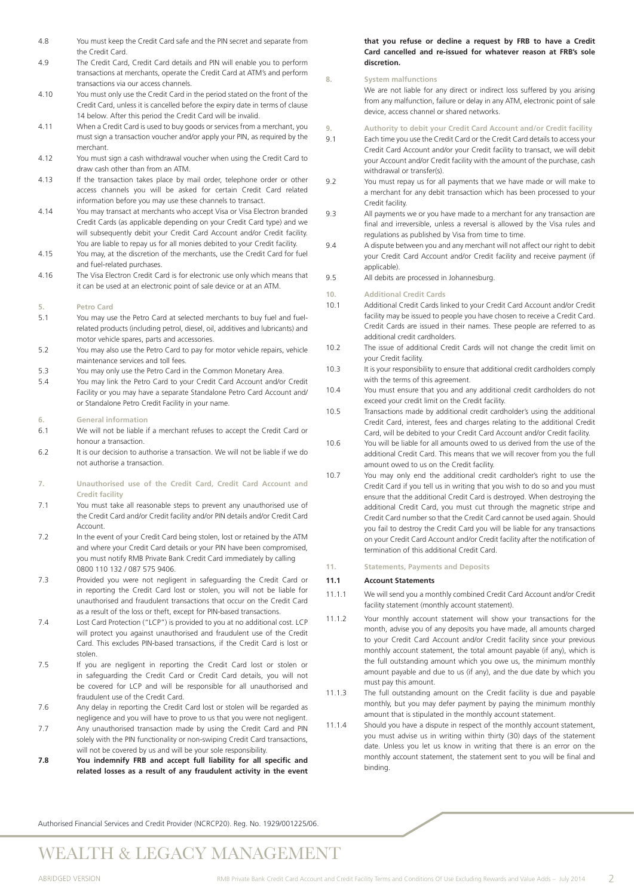- 4.8 You must keep the Credit Card safe and the PIN secret and separate from the Credit Card.
- 4.9 The Credit Card, Credit Card details and PIN will enable you to perform transactions at merchants, operate the Credit Card at ATM's and perform transactions via our access channels.
- 4.10 You must only use the Credit Card in the period stated on the front of the Credit Card, unless it is cancelled before the expiry date in terms of clause 14 below. After this period the Credit Card will be invalid.
- 4.11 When a Credit Card is used to buy goods or services from a merchant, you must sign a transaction voucher and/or apply your PIN, as required by the merchant.
- 4.12 You must sign a cash withdrawal voucher when using the Credit Card to draw cash other than from an ATM.
- 4.13 If the transaction takes place by mail order, telephone order or other access channels you will be asked for certain Credit Card related information before you may use these channels to transact.
- 4.14 You may transact at merchants who accept Visa or Visa Electron branded Credit Cards (as applicable depending on your Credit Card type) and we will subsequently debit your Credit Card Account and/or Credit facility. You are liable to repay us for all monies debited to your Credit facility.
- 4.15 You may, at the discretion of the merchants, use the Credit Card for fuel and fuel-related purchases.
- 4.16 The Visa Electron Credit Card is for electronic use only which means that it can be used at an electronic point of sale device or at an ATM.
- **5. Petro Card**
- 5.1 You may use the Petro Card at selected merchants to buy fuel and fuelrelated products (including petrol, diesel, oil, additives and lubricants) and motor vehicle spares, parts and accessories.
- 5.2 You may also use the Petro Card to pay for motor vehicle repairs, vehicle maintenance services and toll fees.
- 5.3 You may only use the Petro Card in the Common Monetary Area.
- 5.4 You may link the Petro Card to your Credit Card Account and/or Credit Facility or you may have a separate Standalone Petro Card Account and/ or Standalone Petro Credit Facility in your name.
- **6. General information**
- 6.1 We will not be liable if a merchant refuses to accept the Credit Card or honour a transaction.
- 6.2 It is our decision to authorise a transaction. We will not be liable if we do not authorise a transaction.
- **7. Unauthorised use of the Credit Card, Credit Card Account and Credit facility**
- 7.1 You must take all reasonable steps to prevent any unauthorised use of the Credit Card and/or Credit facility and/or PIN details and/or Credit Card **Account**
- 7.2 In the event of your Credit Card being stolen, lost or retained by the ATM and where your Credit Card details or your PIN have been compromised, you must notify RMB Private Bank Credit Card immediately by calling 0800 110 132 / 087 575 9406.
- 7.3 Provided you were not negligent in safeguarding the Credit Card or in reporting the Credit Card lost or stolen, you will not be liable for unauthorised and fraudulent transactions that occur on the Credit Card as a result of the loss or theft, except for PIN-based transactions.
- 7.4 Lost Card Protection ("LCP") is provided to you at no additional cost. LCP will protect you against unauthorised and fraudulent use of the Credit Card. This excludes PIN-based transactions, if the Credit Card is lost or stolen.
- 7.5 If you are negligent in reporting the Credit Card lost or stolen or in safeguarding the Credit Card or Credit Card details, you will not be covered for LCP and will be responsible for all unauthorised and fraudulent use of the Credit Card.
- 7.6 Any delay in reporting the Credit Card lost or stolen will be regarded as negligence and you will have to prove to us that you were not negligent.
- 7.7 Any unauthorised transaction made by using the Credit Card and PIN solely with the PIN functionality or non-swiping Credit Card transactions, will not be covered by us and will be your sole responsibility.
- **7.8 You indemnify FRB and accept full liability for all specific and related losses as a result of any fraudulent activity in the event**

### **that you refuse or decline a request by FRB to have a Credit Card cancelled and re-issued for whatever reason at FRB's sole discretion.**

### **8. System malfunctions**

We are not liable for any direct or indirect loss suffered by you arising from any malfunction, failure or delay in any ATM, electronic point of sale device, access channel or shared networks.

**9. Authority to debit your Credit Card Account and/or Credit facility**

- 9.1 Each time you use the Credit Card or the Credit Card details to access your Credit Card Account and/or your Credit facility to transact, we will debit your Account and/or Credit facility with the amount of the purchase, cash withdrawal or transfer(s).
- 9.2 You must repay us for all payments that we have made or will make to a merchant for any debit transaction which has been processed to your Credit facility.
- 9.3 All payments we or you have made to a merchant for any transaction are final and irreversible, unless a reversal is allowed by the Visa rules and regulations as published by Visa from time to time.
- 9.4 A dispute between you and any merchant will not affect our right to debit your Credit Card Account and/or Credit facility and receive payment (if applicable).
- 9.5 All debits are processed in Johannesburg.
- **10. Additional Credit Cards**
- 10.1 Additional Credit Cards linked to your Credit Card Account and/or Credit facility may be issued to people you have chosen to receive a Credit Card. Credit Cards are issued in their names. These people are referred to as additional credit cardholders.
- 10.2 The issue of additional Credit Cards will not change the credit limit on your Credit facility.
- 10.3 It is your responsibility to ensure that additional credit cardholders comply with the terms of this agreement.
- 10.4 You must ensure that you and any additional credit cardholders do not exceed your credit limit on the Credit facility.
- 10.5 Transactions made by additional credit cardholder's using the additional Credit Card, interest, fees and charges relating to the additional Credit Card, will be debited to your Credit Card Account and/or Credit facility.
- 10.6 You will be liable for all amounts owed to us derived from the use of the additional Credit Card. This means that we will recover from you the full amount owed to us on the Credit facility.
- 10.7 You may only end the additional credit cardholder's right to use the Credit Card if you tell us in writing that you wish to do so and you must ensure that the additional Credit Card is destroyed. When destroying the additional Credit Card, you must cut through the magnetic stripe and Credit Card number so that the Credit Card cannot be used again. Should you fail to destroy the Credit Card you will be liable for any transactions on your Credit Card Account and/or Credit facility after the notification of termination of this additional Credit Card.
- **11. Statements, Payments and Deposits**

### **11.1 Account Statements**

- 11.1.1 We will send you a monthly combined Credit Card Account and/or Credit facility statement (monthly account statement).
- 11.1.2 Your monthly account statement will show your transactions for the month, advise you of any deposits you have made, all amounts charged to your Credit Card Account and/or Credit facility since your previous monthly account statement, the total amount payable (if any), which is the full outstanding amount which you owe us, the minimum monthly amount payable and due to us (if any), and the due date by which you must pay this amount.
- 11.1.3 The full outstanding amount on the Credit facility is due and payable monthly, but you may defer payment by paying the minimum monthly amount that is stipulated in the monthly account statement.
- 11.1.4 Should you have a dispute in respect of the monthly account statement, you must advise us in writing within thirty (30) days of the statement date. Unless you let us know in writing that there is an error on the monthly account statement, the statement sent to you will be final and binding.

Authorised Financial Services and Credit Provider (NCRCP20). Reg. No. 1929/001225/06.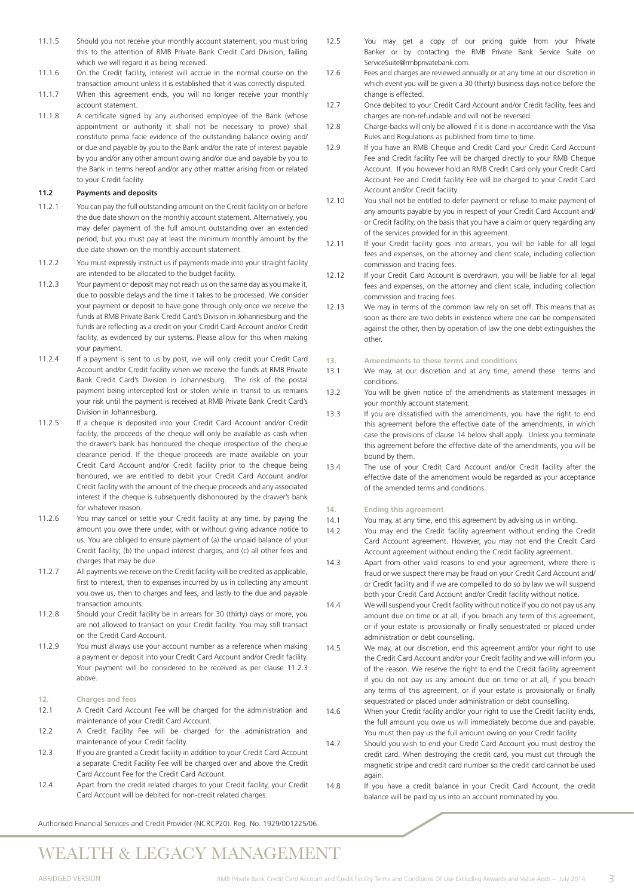- 11.1.5 Should you not receive your monthly account statement, you must bring this to the attention of RMB Private Bank Credit Card Division, failing which we will regard it as being received.
- 11.1.6 On the Credit facility, interest will accrue in the normal course on the transaction amount unless it is established that it was correctly disputed.
- 11.1.7 When this agreement ends, you will no longer receive your monthly account statement.
- 11.1.8 A certificate signed by any authorised employee of the Bank (whose appointment or authority it shall not be necessary to prove) shall constitute prima facie evidence of the outstanding balance owing and/ or due and payable by you to the Bank and/or the rate of interest payable by you and/or any other amount owing and/or due and payable by you to the Bank in terms hereof and/or any other matter arising from or related to your Credit facility.

### **11.2 Payments and deposits**

- 11.2.1 You can pay the full outstanding amount on the Credit facility on or before the due date shown on the monthly account statement. Alternatively, you may defer payment of the full amount outstanding over an extended period, but you must pay at least the minimum monthly amount by the due date shown on the monthly account statement.
- 11.2.2 You must expressly instruct us if payments made into your straight facility are intended to be allocated to the budget facility.
- 11.2.3 Your payment or deposit may not reach us on the same day as you make it, due to possible delays and the time it takes to be processed. We consider your payment or deposit to have gone through only once we receive the funds at RMB Private Bank Credit Card's Division in Johannesburg and the funds are reflecting as a credit on your Credit Card Account and/or Credit facility, as evidenced by our systems. Please allow for this when making your payment.
- 11.2.4 If a payment is sent to us by post, we will only credit your Credit Card Account and/or Credit facility when we receive the funds at RMB Private Bank Credit Card's Division in Johannesburg. The risk of the postal payment being intercepted lost or stolen while in transit to us remains your risk until the payment is received at RMB Private Bank Credit Card's Division in Johannesburg.
- 11.2.5 If a cheque is deposited into your Credit Card Account and/or Credit facility, the proceeds of the cheque will only be available as cash when the drawer's bank has honoured the cheque irrespective of the cheque clearance period. If the cheque proceeds are made available on your Credit Card Account and/or Credit facility prior to the cheque being honoured, we are entitled to debit your Credit Card Account and/or Credit facility with the amount of the cheque proceeds and any associated interest if the cheque is subsequently dishonoured by the drawer's bank for whatever reason.
- 11.2.6 You may cancel or settle your Credit facility at any time, by paying the amount you owe there under, with or without giving advance notice to us. You are obliged to ensure payment of (a) the unpaid balance of your Credit facility; (b) the unpaid interest charges; and (c) all other fees and charges that may be due.
- 11.2.7 All payments we receive on the Credit facility will be credited as applicable, first to interest, then to expenses incurred by us in collecting any amount you owe us, then to charges and fees, and lastly to the due and payable transaction amounts.
- 11.2.8 Should your Credit facility be in arrears for 30 (thirty) days or more, you are not allowed to transact on your Credit facility. You may still transact on the Credit Card Account.
- 11.2.9 You must always use your account number as a reference when making a payment or deposit into your Credit Card Account and/or Credit facility. Your payment will be considered to be received as per clause 11.2.3 above.
- **12. Charges and fees**
- 12.1 A Credit Card Account Fee will be charged for the administration and maintenance of your Credit Card Account.
- 12.2 A Credit Facility Fee will be charged for the administration and maintenance of your Credit facility.
- 12.3 If you are granted a Credit facility in addition to your Credit Card Account a separate Credit Facility Fee will be charged over and above the Credit Card Account Fee for the Credit Card Account.
- 12.4 Apart from the credit related charges to your Credit facility, your Credit Card Account will be debited for non-credit related charges.
- 12.5 You may get a copy of our pricing guide from your Private Banker or by contacting the RMB Private Bank Service Suite on ServiceSuite@rmbprivatebank.com.
- 12.6 Fees and charges are reviewed annually or at any time at our discretion in which event you will be given a 30 (thirty) business days notice before the change is effected.
- 12.7 Once debited to your Credit Card Account and/or Credit facility, fees and charges are non-refundable and will not be reversed.
- 12.8 Charge-backs will only be allowed if it is done in accordance with the Visa Rules and Regulations as published from time to time.
- 12.9 If you have an RMB Cheque and Credit Card your Credit Card Account Fee and Credit facility Fee will be charged directly to your RMB Cheque Account. If you however hold an RMB Credit Card only your Credit Card Account Fee and Credit facility Fee will be charged to your Credit Card Account and/or Credit facility.
- 12.10 You shall not be entitled to defer payment or refuse to make payment of any amounts payable by you in respect of your Credit Card Account and/ or Credit facility, on the basis that you have a claim or query regarding any of the services provided for in this agreement.
- 12.11 If your Credit facility goes into arrears, you will be liable for all legal fees and expenses, on the attorney and client scale, including collection commission and tracing fees.
- 12.12 If your Credit Card Account is overdrawn, you will be liable for all legal fees and expenses, on the attorney and client scale, including collection commission and tracing fees.
- 12.13 We may in terms of the common law rely on set off. This means that as soon as there are two debts in existence where one can be compensated against the other, then by operation of law the one debt extinguishes the other.
- **13. Amendments to these terms and conditions**
- 13.1 We may, at our discretion and at any time, amend these terms and conditions.
- 13.2 You will be given notice of the amendments as statement messages in your monthly account statement.
- 13.3 If you are dissatisfied with the amendments, you have the right to end this agreement before the effective date of the amendments, in which case the provisions of clause 14 below shall apply. Unless you terminate this agreement before the effective date of the amendments, you will be bound by them.
- 13.4 The use of your Credit Card Account and/or Credit facility after the effective date of the amendment would be regarded as your acceptance of the amended terms and conditions.

### **14. Ending this agreement**

- 14.1 You may, at any time, end this agreement by advising us in writing.
- 14.2 You may end the Credit facility agreement without ending the Credit Card Account agreement. However, you may not end the Credit Card Account agreement without ending the Credit facility agreement.
- 14.3 Apart from other valid reasons to end your agreement, where there is fraud or we suspect there may be fraud on your Credit Card Account and/ or Credit facility and if we are compelled to do so by law we will suspend both your Credit Card Account and/or Credit facility without notice.
- 14.4 We will suspend your Credit facility without notice if you do not pay us any amount due on time or at all, if you breach any term of this agreement, or if your estate is provisionally or finally sequestrated or placed under administration or debt counselling.
- 14.5 We may, at our discretion, end this agreement and/or your right to use the Credit Card Account and/or your Credit facility and we will inform you of the reason. We reserve the right to end the Credit facility agreement if you do not pay us any amount due on time or at all, if you breach any terms of this agreement, or if your estate is provisionally or finally sequestrated or placed under administration or debt counselling.
- 14.6 When your Credit facility and/or your right to use the Credit facility ends, the full amount you owe us will immediately become due and payable. You must then pay us the full amount owing on your Credit facility.
- 14.7 Should you wish to end your Credit Card Account you must destroy the credit card. When destroying the credit card, you must cut through the magnetic stripe and credit card number so the credit card cannot be used again.
- 14.8 If you have a credit balance in your Credit Card Account, the credit balance will be paid by us into an account nominated by you.

Authorised Financial Services and Credit Provider (NCRCP20). Reg. No. 1929/001225/06.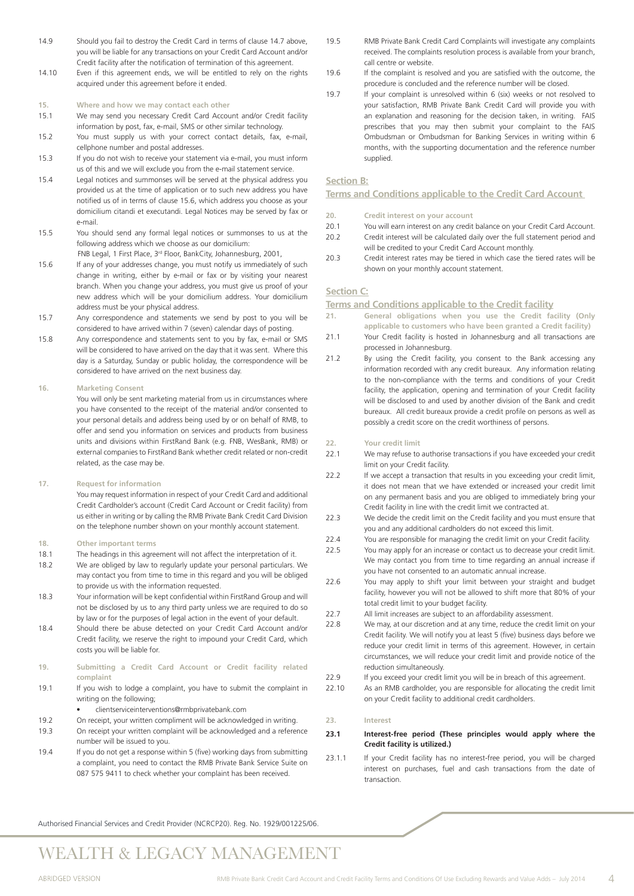- 14.9 Should you fail to destroy the Credit Card in terms of clause 14.7 above, you will be liable for any transactions on your Credit Card Account and/or Credit facility after the notification of termination of this agreement.
- 14.10 Even if this agreement ends, we will be entitled to rely on the rights acquired under this agreement before it ended.

### **15. Where and how we may contact each other**

- 15.1 We may send you necessary Credit Card Account and/or Credit facility information by post, fax, e-mail, SMS or other similar technology.
- 15.2 You must supply us with your correct contact details, fax, e-mail, cellphone number and postal addresses.
- 15.3 If you do not wish to receive your statement via e-mail, you must inform us of this and we will exclude you from the e-mail statement service.
- 15.4 Legal notices and summonses will be served at the physical address you provided us at the time of application or to such new address you have notified us of in terms of clause 15.6, which address you choose as your domicilium citandi et executandi. Legal Notices may be served by fax or e-mail.
- 15.5 You should send any formal legal notices or summonses to us at the following address which we choose as our domicilium:
- FNB Legal, 1 First Place, 3rd Floor, BankCity, Johannesburg, 2001, 15.6 If any of your addresses change, you must notify us immediately of such change in writing, either by e-mail or fax or by visiting your nearest branch. When you change your address, you must give us proof of your new address which will be your domicilium address. Your domicilium address must be your physical address.
- 15.7 Any correspondence and statements we send by post to you will be considered to have arrived within 7 (seven) calendar days of posting.
- 15.8 Any correspondence and statements sent to you by fax, e-mail or SMS will be considered to have arrived on the day that it was sent. Where this day is a Saturday, Sunday or public holiday, the correspondence will be considered to have arrived on the next business day.

### **16. Marketing Consent**

You will only be sent marketing material from us in circumstances where you have consented to the receipt of the material and/or consented to your personal details and address being used by or on behalf of RMB, to offer and send you information on services and products from business units and divisions within FirstRand Bank (e.g. FNB, WesBank, RMB) or external companies to FirstRand Bank whether credit related or non-credit related, as the case may be.

**17. Request for information**

You may request information in respect of your Credit Card and additional Credit Cardholder's account (Credit Card Account or Credit facility) from us either in writing or by calling the RMB Private Bank Credit Card Division on the telephone number shown on your monthly account statement.

### **18. Other important terms**

- 18.1 The headings in this agreement will not affect the interpretation of it.
- 18.2 We are obliged by law to regularly update your personal particulars. We may contact you from time to time in this regard and you will be obliged to provide us with the information requested.
- 18.3 Your information will be kept confidential within FirstRand Group and will not be disclosed by us to any third party unless we are required to do so by law or for the purposes of legal action in the event of your default.
- 18.4 Should there be abuse detected on your Credit Card Account and/or Credit facility, we reserve the right to impound your Credit Card, which costs you will be liable for.
- **19. Submitting a Credit Card Account or Credit facility related complaint**
- 19.1 If you wish to lodge a complaint, you have to submit the complaint in writing on the following;

clientserviceinterventions@rmbprivatebank.com

- 19.2 On receipt, your written compliment will be acknowledged in writing.
- 19.3 On receipt your written complaint will be acknowledged and a reference number will be issued to you.
- 19.4 If you do not get a response within 5 (five) working days from submitting a complaint, you need to contact the RMB Private Bank Service Suite on 087 575 9411 to check whether your complaint has been received.
- 19.5 RMB Private Bank Credit Card Complaints will investigate any complaints received. The complaints resolution process is available from your branch, call centre or website.
- 19.6 If the complaint is resolved and you are satisfied with the outcome, the procedure is concluded and the reference number will be closed.
- 19.7 If your complaint is unresolved within 6 (six) weeks or not resolved to your satisfaction, RMB Private Bank Credit Card will provide you with an explanation and reasoning for the decision taken, in writing. FAIS prescribes that you may then submit your complaint to the FAIS Ombudsman or Ombudsman for Banking Services in writing within 6 months, with the supporting documentation and the reference number supplied.

### **Section B:**

**Terms and Conditions applicable to the Credit Card Account** 

- **20. Credit interest on your account**
- 20.1 You will earn interest on any credit balance on your Credit Card Account. 20.2 Credit interest will be calculated daily over the full statement period and
- will be credited to your Credit Card Account monthly.
- 20.3 Credit interest rates may be tiered in which case the tiered rates will be shown on your monthly account statement.

### **Section C:**

**Terms and Conditions applicable to the Credit facility**

- **21. General obligations when you use the Credit facility (Only applicable to customers who have been granted a Credit facility)**
- 21.1 Your Credit facility is hosted in Johannesburg and all transactions are processed in Johannesburg.
- 21.2 By using the Credit facility, you consent to the Bank accessing any information recorded with any credit bureaux. Any information relating to the non-compliance with the terms and conditions of your Credit facility, the application, opening and termination of your Credit facility will be disclosed to and used by another division of the Bank and credit bureaux. All credit bureaux provide a credit profile on persons as well as possibly a credit score on the credit worthiness of persons.

### **22. Your credit limit**

- 22.1 We may refuse to authorise transactions if you have exceeded your credit limit on your Credit facility.
- 22.2 If we accept a transaction that results in you exceeding your credit limit, it does not mean that we have extended or increased your credit limit on any permanent basis and you are obliged to immediately bring your Credit facility in line with the credit limit we contracted at.
- 22.3 We decide the credit limit on the Credit facility and you must ensure that you and any additional cardholders do not exceed this limit.
- 22.4 You are responsible for managing the credit limit on your Credit facility.
- 22.5 You may apply for an increase or contact us to decrease your credit limit. We may contact you from time to time regarding an annual increase if you have not consented to an automatic annual increase.
- 22.6 You may apply to shift your limit between your straight and budget facility, however you will not be allowed to shift more that 80% of your total credit limit to your budget facility.
- 22.7 All limit increases are subject to an affordability assessment.
- 22.8 We may, at our discretion and at any time, reduce the credit limit on your Credit facility. We will notify you at least 5 (five) business days before we reduce your credit limit in terms of this agreement. However, in certain circumstances, we will reduce your credit limit and provide notice of the reduction simultaneously.
- 22.9 If you exceed your credit limit you will be in breach of this agreement.
- 22.10 As an RMB cardholder, you are responsible for allocating the credit limit on your Credit facility to additional credit cardholders.

### **23. Interest**

### **23.1 Interest-free period (These principles would apply where the Credit facility is utilized.)**

23.1.1 If your Credit facility has no interest-free period, you will be charged interest on purchases, fuel and cash transactions from the date of transaction.

Authorised Financial Services and Credit Provider (NCRCP20). Reg. No. 1929/001225/06.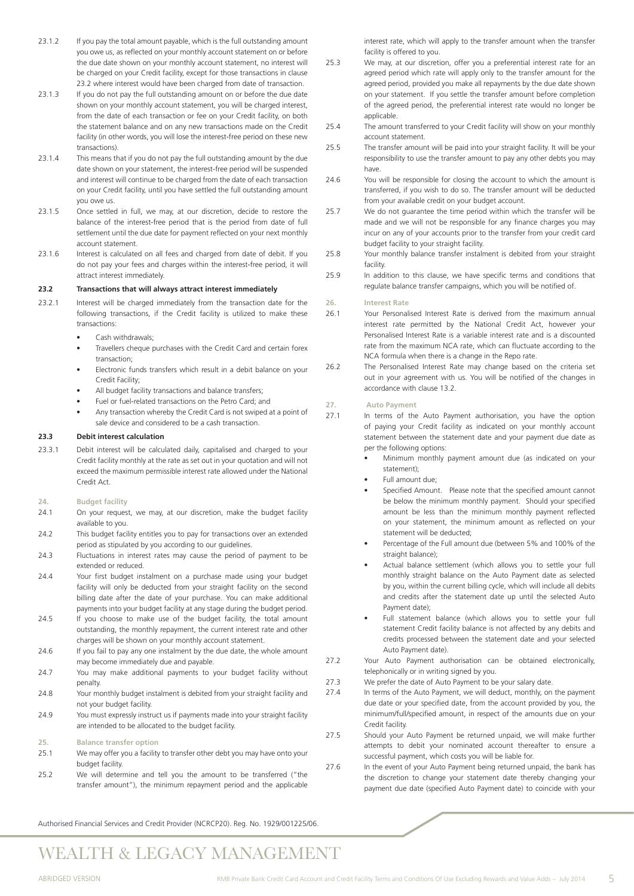- 23.1.2 If you pay the total amount payable, which is the full outstanding amount you owe us, as reflected on your monthly account statement on or before the due date shown on your monthly account statement, no interest will be charged on your Credit facility, except for those transactions in clause 23.2 where interest would have been charged from date of transaction.
- 23.1.3 If you do not pay the full outstanding amount on or before the due date shown on your monthly account statement, you will be charged interest, from the date of each transaction or fee on your Credit facility, on both the statement balance and on any new transactions made on the Credit facility (in other words, you will lose the interest-free period on these new transactions).
- 23.1.4 This means that if you do not pay the full outstanding amount by the due date shown on your statement, the interest-free period will be suspended and interest will continue to be charged from the date of each transaction on your Credit facility, until you have settled the full outstanding amount you owe us.
- 23.1.5 Once settled in full, we may, at our discretion, decide to restore the balance of the interest-free period that is the period from date of full settlement until the due date for payment reflected on your next monthly account statement.
- 23.1.6 Interest is calculated on all fees and charged from date of debit. If you do not pay your fees and charges within the interest-free period, it will attract interest immediately.

### **23.2 Transactions that will always attract interest immediately**

- 23.2.1 Interest will be charged immediately from the transaction date for the following transactions, if the Credit facility is utilized to make these transactions:
	- Cash withdrawals;
	- Travellers cheque purchases with the Credit Card and certain forex transaction;
	- Electronic funds transfers which result in a debit balance on your Credit Facility;
	- All budget facility transactions and balance transfers;
	- Fuel or fuel-related transactions on the Petro Card; and
	- Any transaction whereby the Credit Card is not swiped at a point of sale device and considered to be a cash transaction.

### **23.3 Debit interest calculation**

23.3.1 Debit interest will be calculated daily, capitalised and charged to your Credit facility monthly at the rate as set out in your quotation and will not exceed the maximum permissible interest rate allowed under the National Credit Act.

### **24. Budget facility**

- 24.1 On your request, we may, at our discretion, make the budget facility available to you.
- 24.2 This budget facility entitles you to pay for transactions over an extended period as stipulated by you according to our guidelines.
- 24.3 Fluctuations in interest rates may cause the period of payment to be extended or reduced.
- 24.4 Your first budget instalment on a purchase made using your budget facility will only be deducted from your straight facility on the second billing date after the date of your purchase. You can make additional payments into your budget facility at any stage during the budget period.
- 24.5 If you choose to make use of the budget facility, the total amount outstanding, the monthly repayment, the current interest rate and other charges will be shown on your monthly account statement.
- 24.6 If you fail to pay any one instalment by the due date, the whole amount may become immediately due and payable.
- 24.7 You may make additional payments to your budget facility without penalty.
- 24.8 Your monthly budget instalment is debited from your straight facility and not your budget facility.
- 24.9 You must expressly instruct us if payments made into your straight facility are intended to be allocated to the budget facility.

#### **25. Balance transfer option**

- 25.1 We may offer you a facility to transfer other debt you may have onto your budget facility.
- 25.2 We will determine and tell you the amount to be transferred ("the transfer amount"), the minimum repayment period and the applicable

interest rate, which will apply to the transfer amount when the transfer facility is offered to you.

- 25.3 We may, at our discretion, offer you a preferential interest rate for an agreed period which rate will apply only to the transfer amount for the agreed period, provided you make all repayments by the due date shown on your statement. If you settle the transfer amount before completion of the agreed period, the preferential interest rate would no longer be applicable
- 25.4 The amount transferred to your Credit facility will show on your monthly account statement.
- 25.5 The transfer amount will be paid into your straight facility. It will be your responsibility to use the transfer amount to pay any other debts you may have.
- 24.6 You will be responsible for closing the account to which the amount is transferred, if you wish to do so. The transfer amount will be deducted from your available credit on your budget account.
- 25.7 We do not quarantee the time period within which the transfer will be made and we will not be responsible for any finance charges you may incur on any of your accounts prior to the transfer from your credit card budget facility to your straight facility.
- 25.8 Your monthly balance transfer instalment is debited from your straight facility.
- 25.9 In addition to this clause, we have specific terms and conditions that regulate balance transfer campaigns, which you will be notified of.

### **26. Interest Rate**

- 26.1 Your Personalised Interest Rate is derived from the maximum annual interest rate permitted by the National Credit Act, however your Personalised Interest Rate is a variable interest rate and is a discounted rate from the maximum NCA rate, which can fluctuate according to the NCA formula when there is a change in the Repo rate.
- 26.2 The Personalised Interest Rate may change based on the criteria set out in your agreement with us. You will be notified of the changes in accordance with clause 13.2.

#### **27. Auto Payment**

- 27.1 In terms of the Auto Payment authorisation, you have the option of paying your Credit facility as indicated on your monthly account statement between the statement date and your payment due date as per the following options:
	- Minimum monthly payment amount due (as indicated on your statement);
	- Full amount due;
	- Specified Amount. Please note that the specified amount cannot be below the minimum monthly payment. Should your specified amount be less than the minimum monthly payment reflected on your statement, the minimum amount as reflected on your statement will be deducted;
	- Percentage of the Full amount due (between 5% and 100% of the straight balance);
	- Actual balance settlement (which allows you to settle your full monthly straight balance on the Auto Payment date as selected by you, within the current billing cycle, which will include all debits and credits after the statement date up until the selected Auto Payment date);
	- Full statement balance (which allows you to settle your full statement Credit facility balance is not affected by any debits and credits processed between the statement date and your selected Auto Payment date).
- 27.2 Your Auto Payment authorisation can be obtained electronically, telephonically or in writing signed by you.
- 27.3 We prefer the date of Auto Payment to be your salary date.
- 27.4 In terms of the Auto Payment, we will deduct, monthly, on the payment due date or your specified date, from the account provided by you, the minimum/full/specified amount, in respect of the amounts due on your Credit facility.
- 27.5 Should your Auto Payment be returned unpaid, we will make further attempts to debit your nominated account thereafter to ensure a successful payment, which costs you will be liable for.
- 27.6 In the event of your Auto Payment being returned unpaid, the bank has the discretion to change your statement date thereby changing your payment due date (specified Auto Payment date) to coincide with your

Authorised Financial Services and Credit Provider (NCRCP20). Reg. No. 1929/001225/06.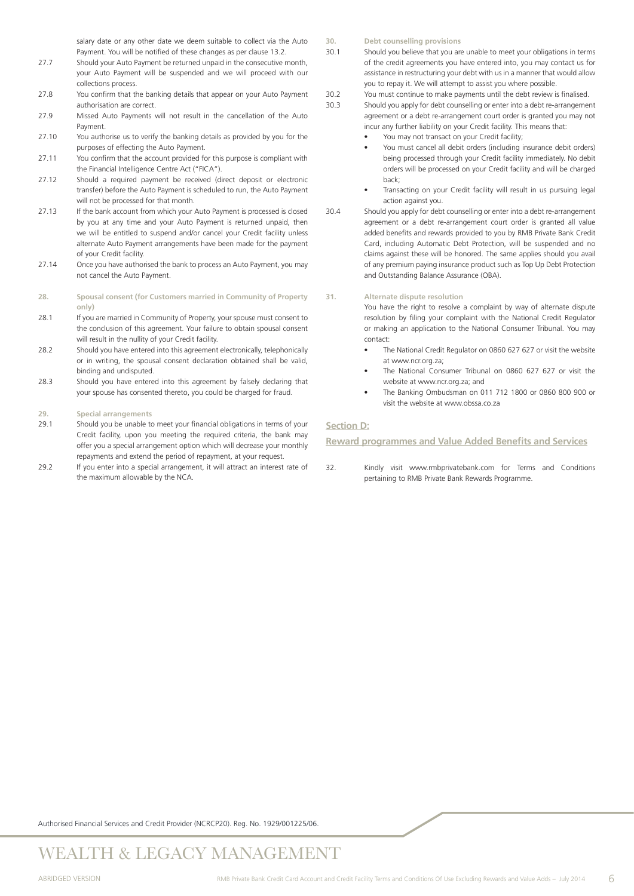salary date or any other date we deem suitable to collect via the Auto Payment. You will be notified of these changes as per clause 13.2.

- 27.7 Should your Auto Payment be returned unpaid in the consecutive month, your Auto Payment will be suspended and we will proceed with our collections process.
- 27.8 You confirm that the banking details that appear on your Auto Payment authorisation are correct.
- 27.9 Missed Auto Payments will not result in the cancellation of the Auto Payment.
- 27.10 You authorise us to verify the banking details as provided by you for the purposes of effecting the Auto Payment.
- 27.11 You confirm that the account provided for this purpose is compliant with the Financial Intelligence Centre Act ("FICA").
- 27.12 Should a required payment be received (direct deposit or electronic transfer) before the Auto Payment is scheduled to run, the Auto Payment will not be processed for that month.
- 27.13 If the bank account from which your Auto Payment is processed is closed by you at any time and your Auto Payment is returned unpaid, then we will be entitled to suspend and/or cancel your Credit facility unless alternate Auto Payment arrangements have been made for the payment of your Credit facility.
- 27.14 Once you have authorised the bank to process an Auto Payment, you may not cancel the Auto Payment.
- **28. Spousal consent (for Customers married in Community of Property only)**
- 28.1 If you are married in Community of Property, your spouse must consent to the conclusion of this agreement. Your failure to obtain spousal consent will result in the nullity of your Credit facility.
- 28.2 Should you have entered into this agreement electronically, telephonically or in writing, the spousal consent declaration obtained shall be valid, binding and undisputed.
- 28.3 Should you have entered into this agreement by falsely declaring that your spouse has consented thereto, you could be charged for fraud.

### **29. Special arrangements**

- 29.1 Should you be unable to meet your financial obligations in terms of your Credit facility, upon you meeting the required criteria, the bank may offer you a special arrangement option which will decrease your monthly repayments and extend the period of repayment, at your request.
- 29.2 If you enter into a special arrangement, it will attract an interest rate of the maximum allowable by the NCA.
- **30. Debt counselling provisions**
- 30.1 Should you believe that you are unable to meet your obligations in terms of the credit agreements you have entered into, you may contact us for assistance in restructuring your debt with us in a manner that would allow you to repay it. We will attempt to assist you where possible.
- 30.2 You must continue to make payments until the debt review is finalised.
- 30.3 Should you apply for debt counselling or enter into a debt re-arrangement agreement or a debt re-arrangement court order is granted you may not incur any further liability on your Credit facility. This means that:
	- You may not transact on your Credit facility;
	- You must cancel all debit orders (including insurance debit orders) being processed through your Credit facility immediately. No debit orders will be processed on your Credit facility and will be charged back;
	- Transacting on your Credit facility will result in us pursuing legal action against you.
- 30.4 Should you apply for debt counselling or enter into a debt re-arrangement agreement or a debt re-arrangement court order is granted all value added benefits and rewards provided to you by RMB Private Bank Credit Card, including Automatic Debt Protection, will be suspended and no claims against these will be honored. The same applies should you avail of any premium paying insurance product such as Top Up Debt Protection and Outstanding Balance Assurance (OBA).

### **31. Alternate dispute resolution**

You have the right to resolve a complaint by way of alternate dispute resolution by filing your complaint with the National Credit Regulator or making an application to the National Consumer Tribunal. You may contact:

- The National Credit Regulator on 0860 627 627 or visit the website at www.ncr.org.za;
- The National Consumer Tribunal on 0860 627 627 or visit the website at www.ncr.org.za; and
- • The Banking Ombudsman on 011 712 1800 or 0860 800 900 or visit the website at www.obssa.co.za

### **Section D:**

**Reward programmes and Value Added Benefits and Services**

32. Kindly visit www.rmbprivatebank.com for Terms and Conditions pertaining to RMB Private Bank Rewards Programme.

Authorised Financial Services and Credit Provider (NCRCP20). Reg. No. 1929/001225/06.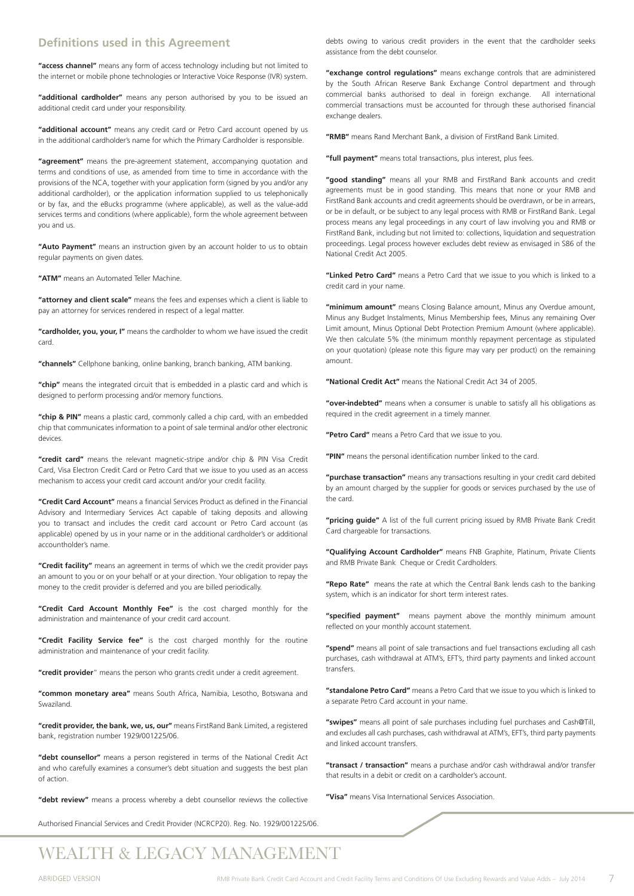### **Definitions used in this Agreement**

**"access channel"** means any form of access technology including but not limited to the internet or mobile phone technologies or Interactive Voice Response (IVR) system.

**"additional cardholder"** means any person authorised by you to be issued an additional credit card under your responsibility.

**"additional account"** means any credit card or Petro Card account opened by us in the additional cardholder's name for which the Primary Cardholder is responsible.

**"agreement"** means the pre-agreement statement, accompanying quotation and terms and conditions of use, as amended from time to time in accordance with the provisions of the NCA, together with your application form (signed by you and/or any additional cardholder), or the application information supplied to us telephonically or by fax, and the eBucks programme (where applicable), as well as the value-add services terms and conditions (where applicable), form the whole agreement between you and us.

**"Auto Payment"** means an instruction given by an account holder to us to obtain regular payments on given dates.

**"ATM"** means an Automated Teller Machine.

**"attorney and client scale"** means the fees and expenses which a client is liable to pay an attorney for services rendered in respect of a legal matter.

**"cardholder, you, your, I"** means the cardholder to whom we have issued the credit card.

**"channels"** Cellphone banking, online banking, branch banking, ATM banking.

**"chip"** means the integrated circuit that is embedded in a plastic card and which is designed to perform processing and/or memory functions.

"chip & PIN" means a plastic card, commonly called a chip card, with an embedded chip that communicates information to a point of sale terminal and/or other electronic devices.

**"credit card"** means the relevant magnetic-stripe and/or chip & PIN Visa Credit Card, Visa Electron Credit Card or Petro Card that we issue to you used as an access mechanism to access your credit card account and/or your credit facility.

**"Credit Card Account"** means a financial Services Product as defined in the Financial Advisory and Intermediary Services Act capable of taking deposits and allowing you to transact and includes the credit card account or Petro Card account (as applicable) opened by us in your name or in the additional cardholder's or additional accountholder's name.

**"Credit facility"** means an agreement in terms of which we the credit provider pays an amount to you or on your behalf or at your direction. Your obligation to repay the money to the credit provider is deferred and you are billed periodically.

**"Credit Card Account Monthly Fee"** is the cost charged monthly for the administration and maintenance of your credit card account.

**"Credit Facility Service fee"** is the cost charged monthly for the routine administration and maintenance of your credit facility.

**"credit provider**" means the person who grants credit under a credit agreement.

**"common monetary area"** means South Africa, Namibia, Lesotho, Botswana and Swaziland.

**"credit provider, the bank, we, us, our"** means FirstRand Bank Limited, a registered bank, registration number 1929/001225/06.

**"debt counsellor"** means a person registered in terms of the National Credit Act and who carefully examines a consumer's debt situation and suggests the best plan of action.

**"debt review"** means a process whereby a debt counsellor reviews the collective

Authorised Financial Services and Credit Provider (NCRCP20). Reg. No. 1929/001225/06.

debts owing to various credit providers in the event that the cardholder seeks assistance from the debt counselor.

**"exchange control regulations"** means exchange controls that are administered by the South African Reserve Bank Exchange Control department and through commercial banks authorised to deal in foreign exchange. All international commercial transactions must be accounted for through these authorised financial exchange dealers.

**"RMB"** means Rand Merchant Bank, a division of FirstRand Bank Limited.

**"full payment"** means total transactions, plus interest, plus fees.

**"good standing"** means all your RMB and FirstRand Bank accounts and credit agreements must be in good standing. This means that none or your RMB and FirstRand Bank accounts and credit agreements should be overdrawn, or be in arrears, or be in default, or be subject to any legal process with RMB or FirstRand Bank. Legal process means any legal proceedings in any court of law involving you and RMB or FirstRand Bank, including but not limited to: collections, liquidation and sequestration proceedings. Legal process however excludes debt review as envisaged in S86 of the National Credit Act 2005.

**"Linked Petro Card"** means a Petro Card that we issue to you which is linked to a credit card in your name.

**"minimum amount"** means Closing Balance amount, Minus any Overdue amount, Minus any Budget Instalments, Minus Membership fees, Minus any remaining Over Limit amount, Minus Optional Debt Protection Premium Amount (where applicable). We then calculate 5% (the minimum monthly repayment percentage as stipulated on your quotation) (please note this figure may vary per product) on the remaining amount.

**"National Credit Act"** means the National Credit Act 34 of 2005.

**"over-indebted"** means when a consumer is unable to satisfy all his obligations as required in the credit agreement in a timely manner.

**"Petro Card"** means a Petro Card that we issue to you.

**"PIN"** means the personal identification number linked to the card.

**"purchase transaction"** means any transactions resulting in your credit card debited by an amount charged by the supplier for goods or services purchased by the use of the card.

**"pricing guide"** A list of the full current pricing issued by RMB Private Bank Credit Card chargeable for transactions.

**"Qualifying Account Cardholder"** means FNB Graphite, Platinum, Private Clients and RMB Private Bank Cheque or Credit Cardholders.

**"Repo Rate"** means the rate at which the Central Bank lends cash to the banking system, which is an indicator for short term interest rates.

**"specified payment"** means payment above the monthly minimum amount reflected on your monthly account statement.

**"spend"** means all point of sale transactions and fuel transactions excluding all cash purchases, cash withdrawal at ATM's, EFT's, third party payments and linked account transfers.

**"standalone Petro Card"** means a Petro Card that we issue to you which is linked to a separate Petro Card account in your name.

**"swipes"** means all point of sale purchases including fuel purchases and Cash@Till, and excludes all cash purchases, cash withdrawal at ATM's, EFT's, third party payments and linked account transfers.

**"transact / transaction"** means a purchase and/or cash withdrawal and/or transfer that results in a debit or credit on a cardholder's account.

**"Visa"** means Visa International Services Association.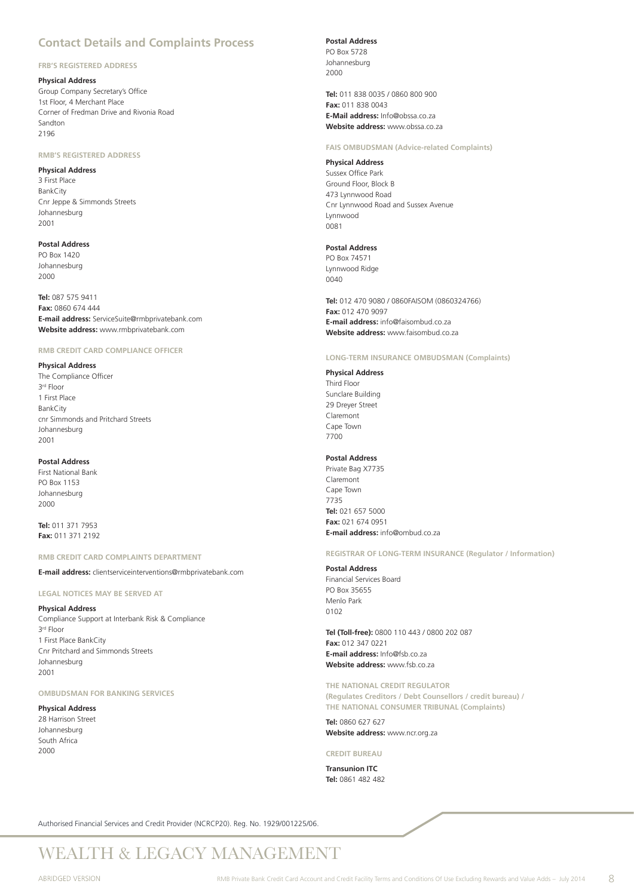## **Contact Details and Complaints Process**

### **FRB'S REGISTERED ADDRESS**

### **Physical Address**

Group Company Secretary's Office 1st Floor, 4 Merchant Place Corner of Fredman Drive and Rivonia Road Sandton 2196

### **RMB'S REGISTERED ADDRESS**

### **Physical Address**

3 First Place BankCity Cnr Jeppe & Simmonds Streets Johannesburg 2001

### **Postal Address**

PO Box 1420 Johannesburg 2000

**Tel:** 087 575 9411 **Fax:** 0860 674 444 **E-mail address:** ServiceSuite@rmbprivatebank.com **Website address:** www.rmbprivatebank.com

### **RMB CREDIT CARD COMPLIANCE OFFICER**

### **Physical Address**

The Compliance Officer 3rd Floor 1 First Place BankCity cnr Simmonds and Pritchard Streets Johannesburg 2001

### **Postal Address**

First National Bank PO Box 1153 Johannesburg 2000

**Tel:** 011 371 7953 **Fax:** 011 371 2192

### **RMB CREDIT CARD COMPLAINTS DEPARTMENT**

**E-mail address:** clientserviceinterventions@rmbprivatebank.com

**LEGAL NOTICES MAY BE SERVED AT**

### **Physical Address**

Compliance Support at Interbank Risk & Compliance 3rd Floor 1 First Place BankCity Cnr Pritchard and Simmonds Streets Johannesburg 2001

### **OMBUDSMAN FOR BANKING SERVICES**

### **Physical Address**

28 Harrison Street Johannesburg South Africa 2000

### **Postal Address**

PO Box 5728 Johannesburg 2000

**Tel:** 011 838 0035 / 0860 800 900 **Fax:** 011 838 0043 **E-Mail address:** Info@obssa.co.za **Website address:** www.obssa.co.za

### **FAIS OMBUDSMAN (Advice-related Complaints)**

**Physical Address** Sussex Office Park Ground Floor, Block B 473 Lynnwood Road Cnr Lynnwood Road and Sussex Avenue Lynnwood 0081

### **Postal Address**

PO Box 74571 Lynnwood Ridge  $0040$ 

**Tel:** 012 470 9080 / 0860FAISOM (0860324766) **Fax:** 012 470 9097 **E-mail address:** info@faisombud.co.za **Website address:** www.faisombud.co.za

### **LONG-TERM INSURANCE OMBUDSMAN (Complaints)**

### **Physical Address**

Third Floor Sunclare Building 29 Dreyer Street Claremont Cape Town 7700

### **Postal Address**

Private Bag X7735 Claremont Cape Town 7735 **Tel:** 021 657 5000 **Fax:** 021 674 0951 **E-mail address:** info@ombud.co.za

**REGISTRAR OF LONG-TERM INSURANCE (Regulator / Information)**

#### **Postal Address**

Financial Services Board PO Box 35655 Menlo Park 0102

**Tel (Toll-free):** 0800 110 443 / 0800 202 087 **Fax:** 012 347 0221 **E-mail address:** Info@fsb.co.za **Website address:** www.fsb.co.za

**THE NATIONAL CREDIT REGULATOR (Regulates Creditors / Debt Counsellors / credit bureau) / THE NATIONAL CONSUMER TRIBUNAL (Complaints)**

**Tel:** 0860 627 627 **Website address:** www.ncr.org.za

**CREDIT BUREAU**

**Transunion ITC Tel:** 0861 482 482

Authorised Financial Services and Credit Provider (NCRCP20). Reg. No. 1929/001225/06.